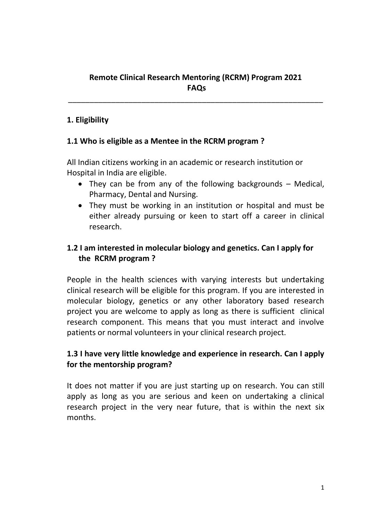# **Remote Clinical Research Mentoring (RCRM) Program 2021 FAQs**

\_\_\_\_\_\_\_\_\_\_\_\_\_\_\_\_\_\_\_\_\_\_\_\_\_\_\_\_\_\_\_\_\_\_\_\_\_\_\_\_\_\_\_\_\_\_\_\_\_\_\_\_\_\_\_\_\_\_\_

### **1. Eligibility**

#### **1.1 Who is eligible as a Mentee in the RCRM program ?**

All Indian citizens working in an academic or research institution or Hospital in India are eligible.

- They can be from any of the following backgrounds Medical, Pharmacy, Dental and Nursing.
- They must be working in an institution or hospital and must be either already pursuing or keen to start off a career in clinical research.

# **1.2 I am interested in molecular biology and genetics. Can I apply for the RCRM program ?**

People in the health sciences with varying interests but undertaking clinical research will be eligible for this program. If you are interested in molecular biology, genetics or any other laboratory based research project you are welcome to apply as long as there is sufficient clinical research component. This means that you must interact and involve patients or normal volunteers in your clinical research project.

## **1.3 I have very little knowledge and experience in research. Can I apply for the mentorship program?**

It does not matter if you are just starting up on research. You can still apply as long as you are serious and keen on undertaking a clinical research project in the very near future, that is within the next six months.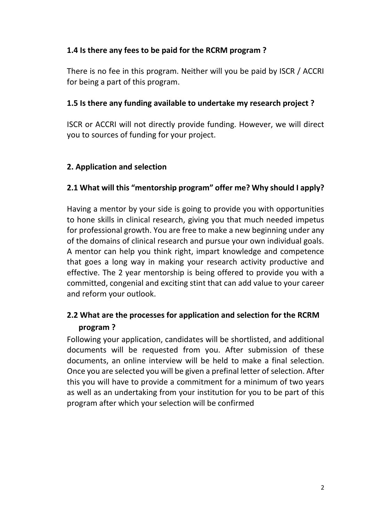## **1.4 Is there any fees to be paid for the RCRM program ?**

There is no fee in this program. Neither will you be paid by ISCR / ACCRI for being a part of this program.

#### **1.5 Is there any funding available to undertake my research project ?**

ISCR or ACCRI will not directly provide funding. However, we will direct you to sources of funding for your project.

### **2. Application and selection**

## **2.1 What will this "mentorship program" offer me? Why should I apply?**

Having a mentor by your side is going to provide you with opportunities to hone skills in clinical research, giving you that much needed impetus for professional growth. You are free to make a new beginning under any of the domains of clinical research and pursue your own individual goals. A mentor can help you think right, impart knowledge and competence that goes a long way in making your research activity productive and effective. The 2 year mentorship is being offered to provide you with a committed, congenial and exciting stint that can add value to your career and reform your outlook.

# **2.2 What are the processes for application and selection for the RCRM program ?**

Following your application, candidates will be shortlisted, and additional documents will be requested from you. After submission of these documents, an online interview will be held to make a final selection. Once you are selected you will be given a prefinal letter of selection. After this you will have to provide a commitment for a minimum of two years as well as an undertaking from your institution for you to be part of this program after which your selection will be confirmed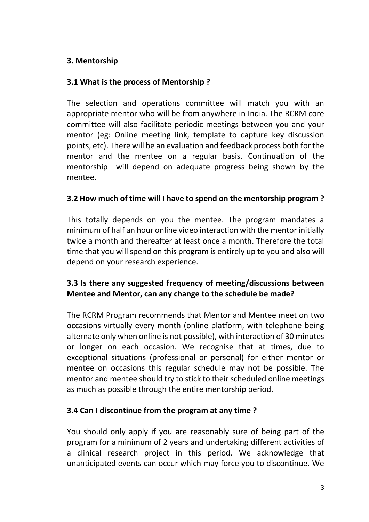## **3. Mentorship**

### **3.1 What is the process of Mentorship ?**

The selection and operations committee will match you with an appropriate mentor who will be from anywhere in India. The RCRM core committee will also facilitate periodic meetings between you and your mentor (eg: Online meeting link, template to capture key discussion points, etc). There will be an evaluation and feedback process both for the mentor and the mentee on a regular basis. Continuation of the mentorship will depend on adequate progress being shown by the mentee.

### **3.2 How much of time will I have to spend on the mentorship program ?**

This totally depends on you the mentee. The program mandates a minimum of half an hour online video interaction with the mentor initially twice a month and thereafter at least once a month. Therefore the total time that you will spend on this program is entirely up to you and also will depend on your research experience.

## **3.3 Is there any suggested frequency of meeting/discussions between Mentee and Mentor, can any change to the schedule be made?**

The RCRM Program recommends that Mentor and Mentee meet on two occasions virtually every month (online platform, with telephone being alternate only when online is not possible), with interaction of 30 minutes or longer on each occasion. We recognise that at times, due to exceptional situations (professional or personal) for either mentor or mentee on occasions this regular schedule may not be possible. The mentor and mentee should try to stick to their scheduled online meetings as much as possible through the entire mentorship period.

## **3.4 Can I discontinue from the program at any time ?**

You should only apply if you are reasonably sure of being part of the program for a minimum of 2 years and undertaking different activities of a clinical research project in this period. We acknowledge that unanticipated events can occur which may force you to discontinue. We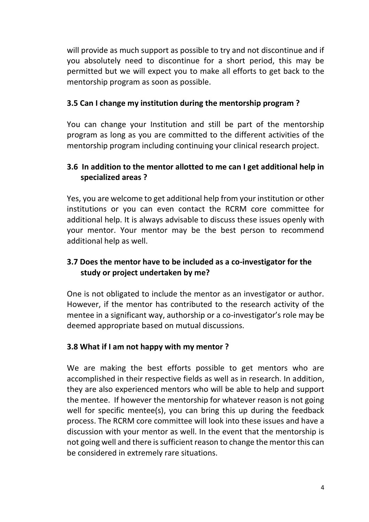will provide as much support as possible to try and not discontinue and if you absolutely need to discontinue for a short period, this may be permitted but we will expect you to make all efforts to get back to the mentorship program as soon as possible.

### **3.5 Can I change my institution during the mentorship program ?**

You can change your Institution and still be part of the mentorship program as long as you are committed to the different activities of the mentorship program including continuing your clinical research project.

## **3.6 In addition to the mentor allotted to me can I get additional help in specialized areas ?**

Yes, you are welcome to get additional help from your institution or other institutions or you can even contact the RCRM core committee for additional help. It is always advisable to discuss these issues openly with your mentor. Your mentor may be the best person to recommend additional help as well.

# **3.7 Does the mentor have to be included as a co-investigator for the study or project undertaken by me?**

One is not obligated to include the mentor as an investigator or author. However, if the mentor has contributed to the research activity of the mentee in a significant way, authorship or a co-investigator's role may be deemed appropriate based on mutual discussions.

## **3.8 What if I am not happy with my mentor ?**

We are making the best efforts possible to get mentors who are accomplished in their respective fields as well as in research. In addition, they are also experienced mentors who will be able to help and support the mentee. If however the mentorship for whatever reason is not going well for specific mentee(s), you can bring this up during the feedback process. The RCRM core committee will look into these issues and have a discussion with your mentor as well. In the event that the mentorship is not going well and there is sufficient reason to change the mentor this can be considered in extremely rare situations.